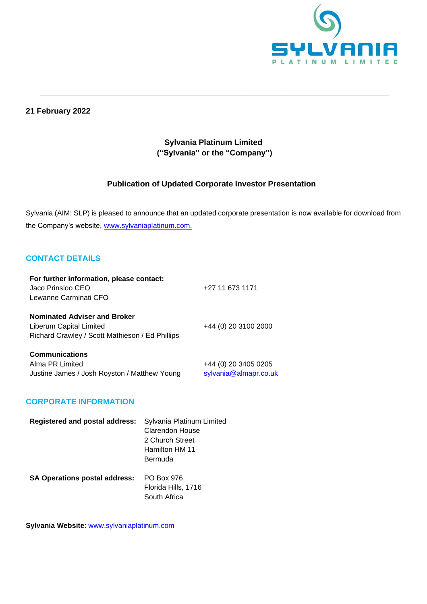

## **21 February 2022**

# **Sylvania Platinum Limited ("Sylvania" or the "Company")**

**\_\_\_\_\_\_\_\_\_\_\_\_\_\_\_\_\_\_\_\_\_\_\_\_\_\_\_\_\_\_\_\_\_\_\_\_\_\_\_\_\_\_\_\_\_\_\_\_\_\_\_\_\_\_\_\_\_\_\_\_\_\_\_\_\_\_\_\_\_\_\_\_\_\_\_\_\_\_\_\_\_\_\_\_\_\_\_\_\_\_\_\_\_\_\_\_\_\_\_\_\_\_\_\_\_\_\_\_\_\_\_\_\_\_\_\_\_\_\_\_\_\_\_\_\_**

## **Publication of Updated Corporate Investor Presentation**

Sylvania (AIM: SLP) is pleased to announce that an updated corporate presentation is now available for download from the Company's website, [www.sylvaniaplatinum.com.](http://www.sylvaniaplatinum.com/)

## **CONTACT DETAILS**

| For further information, please contact:        |                       |
|-------------------------------------------------|-----------------------|
| Jaco Prinsloo CEO                               | +27 11 673 1171       |
| Lewanne Carminati CFO                           |                       |
| <b>Nominated Adviser and Broker</b>             |                       |
| Liberum Capital Limited                         | +44 (0) 20 3100 2000  |
| Richard Crawley / Scott Mathieson / Ed Phillips |                       |
| <b>Communications</b>                           |                       |
| Alma PR Limited                                 | +44 (0) 20 3405 0205  |
| Justine James / Josh Royston / Matthew Young    | sylvania@almapr.co.uk |

#### **CORPORATE INFORMATION**

| <b>Registered and postal address:</b> | Sylvania Platinum Limited<br><b>Clarendon House</b><br>2 Church Street |
|---------------------------------------|------------------------------------------------------------------------|
|                                       | Hamilton HM 11<br>Bermuda                                              |
| <b>SA Operations postal address:</b>  | PO Box 976<br>Florida Hills, 1716<br>South Africa                      |

**Sylvania Website**: [www.sylvaniaplatinum.com](http://www.sylvaniaplatinum.com/)